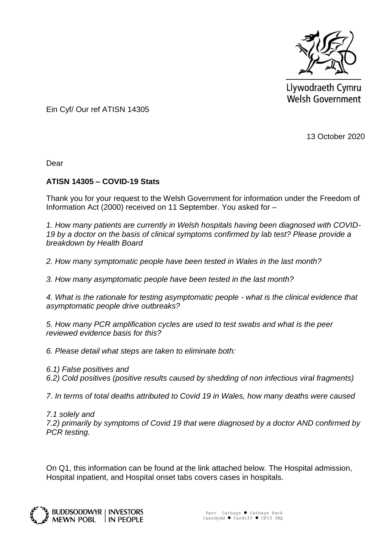

Llywodraeth Cymru **Welsh Government** 

Ein Cyf/ Our ref ATISN 14305

13 October 2020

Dear

## **ATISN 14305 – COVID-19 Stats**

Thank you for your request to the Welsh Government for information under the Freedom of Information Act (2000) received on 11 September. You asked for –

*1. How many patients are currently in Welsh hospitals having been diagnosed with COVID-19 by a doctor on the basis of clinical symptoms confirmed by lab test? Please provide a breakdown by Health Board* 

*2. How many symptomatic people have been tested in Wales in the last month?*

*3. How many asymptomatic people have been tested in the last month?*

*4. What is the rationale for testing asymptomatic people - what is the clinical evidence that asymptomatic people drive outbreaks?*

*5. How many PCR amplification cycles are used to test swabs and what is the peer reviewed evidence basis for this?*

*6. Please detail what steps are taken to eliminate both:*

*6.1) False positives and*

*6.2) Cold positives (positive results caused by shedding of non infectious viral fragments)*

*7. In terms of total deaths attributed to Covid 19 in Wales, how many deaths were caused* 

*7.1 solely and* 

*7.2) primarily by symptoms of Covid 19 that were diagnosed by a doctor AND confirmed by PCR testing.*

On Q1, this information can be found at the link attached below. The Hospital admission, Hospital inpatient, and Hospital onset tabs covers cases in hospitals.

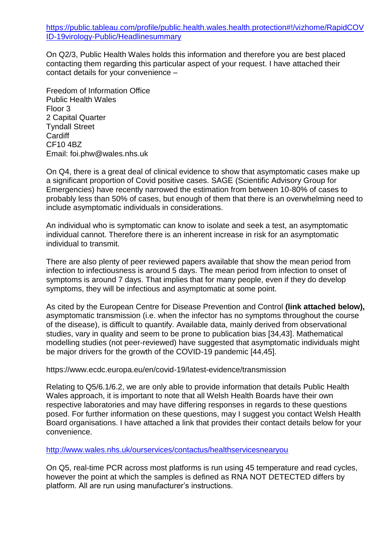[https://public.tableau.com/profile/public.health.wales.health.protection#!/vizhome/RapidCOV](https://eur01.safelinks.protection.outlook.com/?url=https%3A%2F%2Fpublic.tableau.com%2Fprofile%2Fpublic.health.wales.health.protection%2523!%2Fvizhome%2FRapidCOVID-19virology-Public%2FHeadlinesummary&data=02%7C01%7CJoseph.Beese%40gov.wales%7Cc2ef84d8d87d4c1d756908d865f72734%7Ca2cc36c592804ae78887d06dab89216b%7C0%7C0%7C637371459467320852&sdata=W7OdAfF7vCIYyX4mQzXa1TEGNQHyvT4OmBGbPk47kcI%3D&reserved=0) [ID-19virology-Public/Headlinesummary](https://eur01.safelinks.protection.outlook.com/?url=https%3A%2F%2Fpublic.tableau.com%2Fprofile%2Fpublic.health.wales.health.protection%2523!%2Fvizhome%2FRapidCOVID-19virology-Public%2FHeadlinesummary&data=02%7C01%7CJoseph.Beese%40gov.wales%7Cc2ef84d8d87d4c1d756908d865f72734%7Ca2cc36c592804ae78887d06dab89216b%7C0%7C0%7C637371459467320852&sdata=W7OdAfF7vCIYyX4mQzXa1TEGNQHyvT4OmBGbPk47kcI%3D&reserved=0)

On Q2/3, Public Health Wales holds this information and therefore you are best placed contacting them regarding this particular aspect of your request. I have attached their contact details for your convenience –

Freedom of Information Office Public Health Wales Floor 3 2 Capital Quarter Tyndall Street **Cardiff** CF10 4BZ Email: foi.phw@wales.nhs.uk

On Q4, there is a great deal of clinical evidence to show that asymptomatic cases make up a significant proportion of Covid positive cases. SAGE (Scientific Advisory Group for Emergencies) have recently narrowed the estimation from between 10-80% of cases to probably less than 50% of cases, but enough of them that there is an overwhelming need to include asymptomatic individuals in considerations.

An individual who is symptomatic can know to isolate and seek a test, an asymptomatic individual cannot. Therefore there is an inherent increase in risk for an asymptomatic individual to transmit.

There are also plenty of peer reviewed papers available that show the mean period from infection to infectiousness is around 5 days. The mean period from infection to onset of symptoms is around 7 days. That implies that for many people, even if they do develop symptoms, they will be infectious and asymptomatic at some point.

As cited by the European Centre for Disease Prevention and Control **(link attached below),**  asymptomatic transmission (i.e. when the infector has no symptoms throughout the course of the disease), is difficult to quantify. Available data, mainly derived from observational studies, vary in quality and seem to be prone to publication bias [34,43]. Mathematical modelling studies (not peer-reviewed) have suggested that asymptomatic individuals might be major drivers for the growth of the COVID-19 pandemic [44,45].

https://www.ecdc.europa.eu/en/covid-19/latest-evidence/transmission

Relating to Q5/6.1/6.2, we are only able to provide information that details Public Health Wales approach, it is important to note that all Welsh Health Boards have their own respective laboratories and may have differing responses in regards to these questions posed. For further information on these questions, may I suggest you contact Welsh Health Board organisations. I have attached a link that provides their contact details below for your convenience.

<http://www.wales.nhs.uk/ourservices/contactus/healthservicesnearyou>

On Q5, real-time PCR across most platforms is run using 45 temperature and read cycles, however the point at which the samples is defined as RNA NOT DETECTED differs by platform. All are run using manufacturer's instructions.